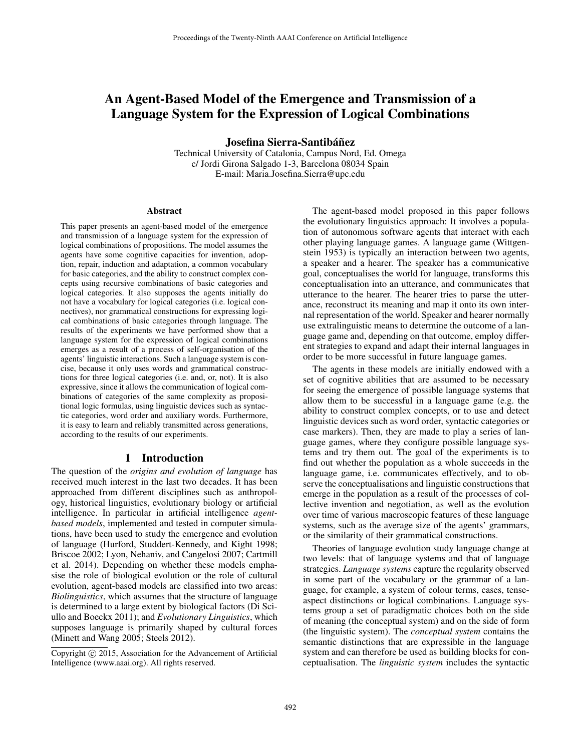# An Agent-Based Model of the Emergence and Transmission of a Language System for the Expression of Logical Combinations

Josefina Sierra-Santibáñez

Technical University of Catalonia, Campus Nord, Ed. Omega c/ Jordi Girona Salgado 1-3, Barcelona 08034 Spain E-mail: Maria.Josefina.Sierra@upc.edu

#### Abstract

This paper presents an agent-based model of the emergence and transmission of a language system for the expression of logical combinations of propositions. The model assumes the agents have some cognitive capacities for invention, adoption, repair, induction and adaptation, a common vocabulary for basic categories, and the ability to construct complex concepts using recursive combinations of basic categories and logical categories. It also supposes the agents initially do not have a vocabulary for logical categories (i.e. logical connectives), nor grammatical constructions for expressing logical combinations of basic categories through language. The results of the experiments we have performed show that a language system for the expression of logical combinations emerges as a result of a process of self-organisation of the agents' linguistic interactions. Such a language system is concise, because it only uses words and grammatical constructions for three logical categories (i.e. and, or, not). It is also expressive, since it allows the communication of logical combinations of categories of the same complexity as propositional logic formulas, using linguistic devices such as syntactic categories, word order and auxiliary words. Furthermore, it is easy to learn and reliably transmitted across generations, according to the results of our experiments.

## 1 Introduction

The question of the *origins and evolution of language* has received much interest in the last two decades. It has been approached from different disciplines such as anthropology, historical linguistics, evolutionary biology or artificial intelligence. In particular in artificial intelligence *agentbased models*, implemented and tested in computer simulations, have been used to study the emergence and evolution of language (Hurford, Studdert-Kennedy, and Kight 1998; Briscoe 2002; Lyon, Nehaniv, and Cangelosi 2007; Cartmill et al. 2014). Depending on whether these models emphasise the role of biological evolution or the role of cultural evolution, agent-based models are classified into two areas: *Biolinguistics*, which assumes that the structure of language is determined to a large extent by biological factors (Di Sciullo and Boeckx 2011); and *Evolutionary Linguistics*, which supposes language is primarily shaped by cultural forces (Minett and Wang 2005; Steels 2012).

The agent-based model proposed in this paper follows the evolutionary linguistics approach: It involves a population of autonomous software agents that interact with each other playing language games. A language game (Wittgenstein 1953) is typically an interaction between two agents, a speaker and a hearer. The speaker has a communicative goal, conceptualises the world for language, transforms this conceptualisation into an utterance, and communicates that utterance to the hearer. The hearer tries to parse the utterance, reconstruct its meaning and map it onto its own internal representation of the world. Speaker and hearer normally use extralinguistic means to determine the outcome of a language game and, depending on that outcome, employ different strategies to expand and adapt their internal languages in order to be more successful in future language games.

The agents in these models are initially endowed with a set of cognitive abilities that are assumed to be necessary for seeing the emergence of possible language systems that allow them to be successful in a language game (e.g. the ability to construct complex concepts, or to use and detect linguistic devices such as word order, syntactic categories or case markers). Then, they are made to play a series of language games, where they configure possible language systems and try them out. The goal of the experiments is to find out whether the population as a whole succeeds in the language game, i.e. communicates effectively, and to observe the conceptualisations and linguistic constructions that emerge in the population as a result of the processes of collective invention and negotiation, as well as the evolution over time of various macroscopic features of these language systems, such as the average size of the agents' grammars, or the similarity of their grammatical constructions.

Theories of language evolution study language change at two levels: that of language systems and that of language strategies. *Language systems* capture the regularity observed in some part of the vocabulary or the grammar of a language, for example, a system of colour terms, cases, tenseaspect distinctions or logical combinations. Language systems group a set of paradigmatic choices both on the side of meaning (the conceptual system) and on the side of form (the linguistic system). The *conceptual system* contains the semantic distinctions that are expressible in the language system and can therefore be used as building blocks for conceptualisation. The *linguistic system* includes the syntactic

Copyright (c) 2015, Association for the Advancement of Artificial Intelligence (www.aaai.org). All rights reserved.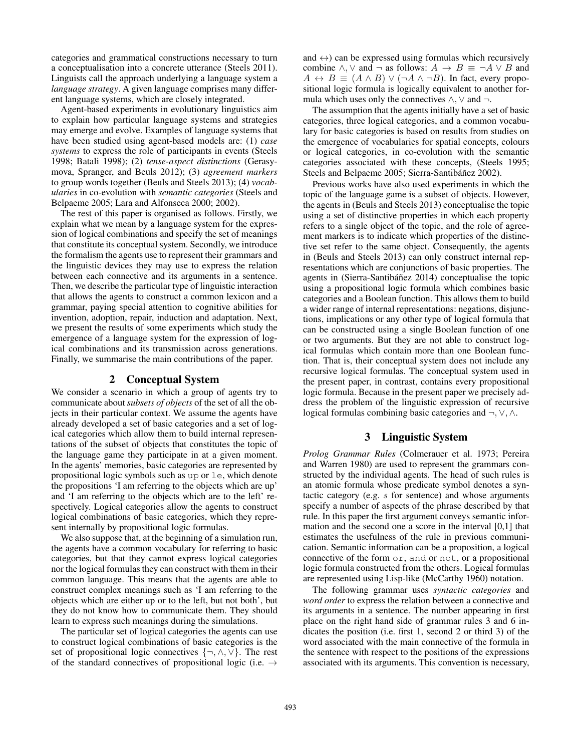categories and grammatical constructions necessary to turn a conceptualisation into a concrete utterance (Steels 2011). Linguists call the approach underlying a language system a *language strategy*. A given language comprises many different language systems, which are closely integrated.

Agent-based experiments in evolutionary linguistics aim to explain how particular language systems and strategies may emerge and evolve. Examples of language systems that have been studied using agent-based models are: (1) *case systems* to express the role of participants in events (Steels 1998; Batali 1998); (2) *tense-aspect distinctions* (Gerasymova, Spranger, and Beuls 2012); (3) *agreement markers* to group words together (Beuls and Steels 2013); (4) *vocabularies* in co-evolution with *semantic categories* (Steels and Belpaeme 2005; Lara and Alfonseca 2000; 2002).

The rest of this paper is organised as follows. Firstly, we explain what we mean by a language system for the expression of logical combinations and specify the set of meanings that constitute its conceptual system. Secondly, we introduce the formalism the agents use to represent their grammars and the linguistic devices they may use to express the relation between each connective and its arguments in a sentence. Then, we describe the particular type of linguistic interaction that allows the agents to construct a common lexicon and a grammar, paying special attention to cognitive abilities for invention, adoption, repair, induction and adaptation. Next, we present the results of some experiments which study the emergence of a language system for the expression of logical combinations and its transmission across generations. Finally, we summarise the main contributions of the paper.

#### 2 Conceptual System

We consider a scenario in which a group of agents try to communicate about *subsets of objects* of the set of all the objects in their particular context. We assume the agents have already developed a set of basic categories and a set of logical categories which allow them to build internal representations of the subset of objects that constitutes the topic of the language game they participate in at a given moment. In the agents' memories, basic categories are represented by propositional logic symbols such as up or le, which denote the propositions 'I am referring to the objects which are up' and 'I am referring to the objects which are to the left' respectively. Logical categories allow the agents to construct logical combinations of basic categories, which they represent internally by propositional logic formulas.

We also suppose that, at the beginning of a simulation run, the agents have a common vocabulary for referring to basic categories, but that they cannot express logical categories nor the logical formulas they can construct with them in their common language. This means that the agents are able to construct complex meanings such as 'I am referring to the objects which are either up or to the left, but not both', but they do not know how to communicate them. They should learn to express such meanings during the simulations.

The particular set of logical categories the agents can use to construct logical combinations of basic categories is the set of propositional logic connectives  $\{\neg, \wedge, \vee\}$ . The rest of the standard connectives of propositional logic (i.e.  $\rightarrow$ 

and  $\leftrightarrow$ ) can be expressed using formulas which recursively combine  $\land$ ,  $\lor$  and  $\neg$  as follows:  $A \rightarrow B \equiv \neg A \lor B$  and  $A \leftrightarrow B \equiv (A \land B) \lor (\neg A \land \neg B)$ . In fact, every propositional logic formula is logically equivalent to another formula which uses only the connectives  $\land$ ,  $\lor$  and  $\neg$ .

The assumption that the agents initially have a set of basic categories, three logical categories, and a common vocabulary for basic categories is based on results from studies on the emergence of vocabularies for spatial concepts, colours or logical categories, in co-evolution with the semantic categories associated with these concepts, (Steels 1995; Steels and Belpaeme 2005; Sierra-Santibáñez 2002).

Previous works have also used experiments in which the topic of the language game is a subset of objects. However, the agents in (Beuls and Steels 2013) conceptualise the topic using a set of distinctive properties in which each property refers to a single object of the topic, and the role of agreement markers is to indicate which properties of the distinctive set refer to the same object. Consequently, the agents in (Beuls and Steels 2013) can only construct internal representations which are conjunctions of basic properties. The agents in (Sierra-Santibáñez 2014) conceptualise the topic using a propositional logic formula which combines basic categories and a Boolean function. This allows them to build a wider range of internal representations: negations, disjunctions, implications or any other type of logical formula that can be constructed using a single Boolean function of one or two arguments. But they are not able to construct logical formulas which contain more than one Boolean function. That is, their conceptual system does not include any recursive logical formulas. The conceptual system used in the present paper, in contrast, contains every propositional logic formula. Because in the present paper we precisely address the problem of the linguistic expression of recursive logical formulas combining basic categories and ¬, ∨, ∧.

# 3 Linguistic System

*Prolog Grammar Rules* (Colmerauer et al. 1973; Pereira and Warren 1980) are used to represent the grammars constructed by the individual agents. The head of such rules is an atomic formula whose predicate symbol denotes a syntactic category (e.g. s for sentence) and whose arguments specify a number of aspects of the phrase described by that rule. In this paper the first argument conveys semantic information and the second one a score in the interval [0,1] that estimates the usefulness of the rule in previous communication. Semantic information can be a proposition, a logical connective of the form or, and or not, or a propositional logic formula constructed from the others. Logical formulas are represented using Lisp-like (McCarthy 1960) notation.

The following grammar uses *syntactic categories* and *word order* to express the relation between a connective and its arguments in a sentence. The number appearing in first place on the right hand side of grammar rules 3 and 6 indicates the position (i.e. first 1, second 2 or third 3) of the word associated with the main connective of the formula in the sentence with respect to the positions of the expressions associated with its arguments. This convention is necessary,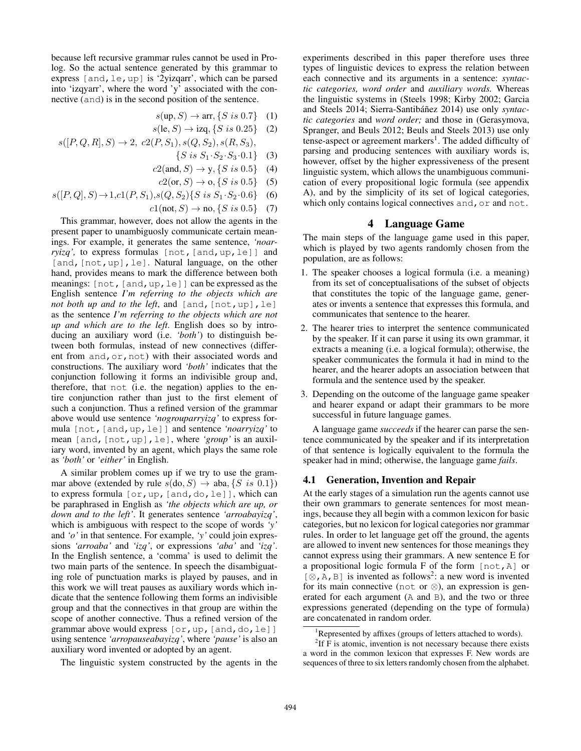because left recursive grammar rules cannot be used in Prolog. So the actual sentence generated by this grammar to express [and,le,up] is '2yizqarr', which can be parsed into 'izqyarr', where the word 'y' associated with the connective (and) is in the second position of the sentence.

- $s(\text{up}, S) \rightarrow \text{arr}, \{S \text{ is } 0.7\}$  (1)
- $s(\text{le}, S) \to \text{izq}, \{S \text{ is } 0.25\}$  (2)  $s([P, Q, R], S) \rightarrow 2, c2(P, S_1), s(Q, S_2), s(R, S_3),$ 
	- $\{S \text{ is } S_1 \cdot S_2 \cdot S_3 \cdot 0.1\}$  (3)
	- $c2(and, S) \rightarrow y, \{S \text{ is } 0.5\}$  (4)
	- $c2(\text{or}, S) \to \text{o}, \{S \text{ is } 0.5\}$  (5)
- $s([P,Q], S) \rightarrow 1, c1(P, S_1), s(Q, S_2) \{S \text{ is } S_1 \cdot S_2 \cdot 0.6\}$  (6)
	- $c1(not, S) \to no, \{S \text{ is } 0.5\}$  (7)

This grammar, however, does not allow the agents in the present paper to unambiguosly communicate certain meanings. For example, it generates the same sentence, *'noarryizq'*, to express formulas  $[not, [and,up,le]]$  and [and, [not, up], le]. Natural language, on the other hand, provides means to mark the difference between both meanings: [not,[and,up,le]] can be expressed as the English sentence *I'm referring to the objects which are not both up and to the left*, and  $[and, [not, up], le]$ as the sentence *I'm referring to the objects which are not up and which are to the left*. English does so by introducing an auxiliary word (i.e. *'both'*) to distinguish between both formulas, instead of new connectives (different from and, or, not) with their associated words and constructions. The auxiliary word *'both'* indicates that the conjunction following it forms an indivisible group and, therefore, that not (i.e. the negation) applies to the entire conjunction rather than just to the first element of such a conjunction. Thus a refined version of the grammar above would use sentence *'nogrouparryizq'* to express formula [not,[and,up,le]] and sentence *'noarryizq'* to mean [and,[not,up],le], where *'group'* is an auxiliary word, invented by an agent, which plays the same role as *'both'* or *'either'* in English.

A similar problem comes up if we try to use the grammar above (extended by rule  $s(\text{do}, S) \rightarrow \text{aba}, \{S \text{ is } 0.1\})$ to express formula [or,up,[and,do,le]], which can be paraphrased in English as *'the objects which are up, or down and to the left'*. It generates sentence *'arroabayizq'*, which is ambiguous with respect to the scope of words *'y'* and *'o'* in that sentence. For example, *'y'* could join expressions *'arroaba'* and *'izq'*, or expressions *'aba'* and *'izq'*. In the English sentence, a 'comma' is used to delimit the two main parts of the sentence. In speech the disambiguating role of punctuation marks is played by pauses, and in this work we will treat pauses as auxiliary words which indicate that the sentence following them forms an indivisible group and that the connectives in that group are within the scope of another connective. Thus a refined version of the grammar above would express [or, up, [and, do, le]] using sentence *'arropauseabayizq'*, where *'pause'* is also an auxiliary word invented or adopted by an agent.

The linguistic system constructed by the agents in the

experiments described in this paper therefore uses three types of linguistic devices to express the relation between each connective and its arguments in a sentence: *syntactic categories, word order* and *auxiliary words.* Whereas the linguistic systems in (Steels 1998; Kirby 2002; Garcia and Steels 2014; Sierra-Santibáñez 2014) use only *syntactic categories* and *word order;* and those in (Gerasymova, Spranger, and Beuls 2012; Beuls and Steels 2013) use only tense-aspect or agreement markers<sup>1</sup>. The added difficulty of parsing and producing sentences with auxiliary words is, however, offset by the higher expressiveness of the present linguistic system, which allows the unambiguous communication of every propositional logic formula (see appendix A), and by the simplicity of its set of logical categories, which only contains logical connectives and, or and not.

# 4 Language Game

The main steps of the language game used in this paper, which is played by two agents randomly chosen from the population, are as follows:

- 1. The speaker chooses a logical formula (i.e. a meaning) from its set of conceptualisations of the subset of objects that constitutes the topic of the language game, generates or invents a sentence that expresses this formula, and communicates that sentence to the hearer.
- 2. The hearer tries to interpret the sentence communicated by the speaker. If it can parse it using its own grammar, it extracts a meaning (i.e. a logical formula); otherwise, the speaker communicates the formula it had in mind to the hearer, and the hearer adopts an association between that formula and the sentence used by the speaker.
- 3. Depending on the outcome of the language game speaker and hearer expand or adapt their grammars to be more successful in future language games.

A language game *succeeds* if the hearer can parse the sentence communicated by the speaker and if its interpretation of that sentence is logically equivalent to the formula the speaker had in mind; otherwise, the language game *fails*.

#### 4.1 Generation, Invention and Repair

At the early stages of a simulation run the agents cannot use their own grammars to generate sentences for most meanings, because they all begin with a common lexicon for basic categories, but no lexicon for logical categories nor grammar rules. In order to let language get off the ground, the agents are allowed to invent new sentences for those meanings they cannot express using their grammars. A new sentence E for a propositional logic formula F of the form [not,A] or [⊗, A, B] is invented as follows<sup>2</sup>: a new word is invented for its main connective (not or  $\otimes$ ), an expression is generated for each argument (A and B), and the two or three expressions generated (depending on the type of formula) are concatenated in random order.

<sup>&</sup>lt;sup>1</sup>Represented by affixes (groups of letters attached to words).

 ${}^{2}$ If F is atomic, invention is not necessary because there exists a word in the common lexicon that expresses F. New words are sequences of three to six letters randomly chosen from the alphabet.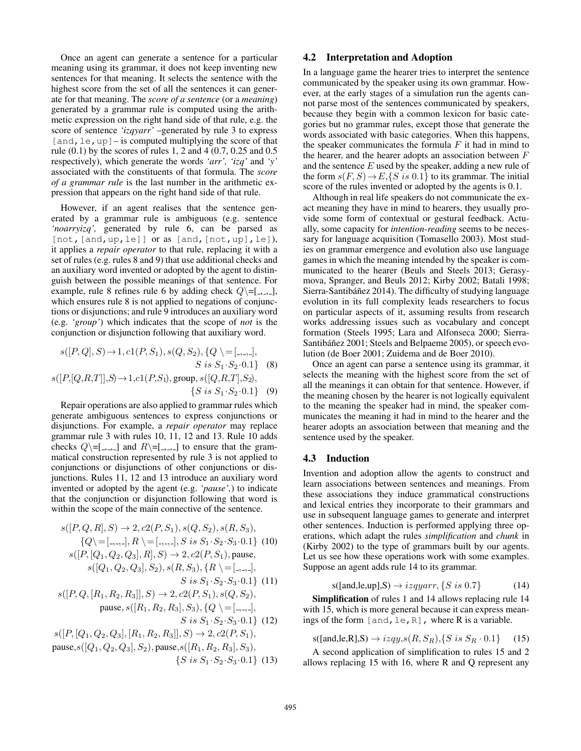Once an agent can generate a sentence for a particular meaning using its grammar, it does not keep inventing new sentences for that meaning. It selects the sentence with the highest score from the set of all the sentences it can generate for that meaning. The *score of a sentence* (or a *meaning*) generated by a grammar rule is computed using the arithmetic expression on the right hand side of that rule, e.g. the score of sentence *'izqyarr'* –generated by rule 3 to express [and, le, up] – is computed multiplying the score of that rule (0.1) by the scores of rules 1, 2 and 4 (0.7, 0.25 and 0.5 respectively), which generate the words *'arr', 'izq'* and *'y'* associated with the constituents of that formula. The *score of a grammar rule* is the last number in the arithmetic expression that appears on the right hand side of that rule.

However, if an agent realises that the sentence generated by a grammar rule is ambiguous (e.g. sentence *'noarryizq',* generated by rule 6, can be parsed as [not, [and, up, le]] or as [and, [not, up], le]), it applies a *repair operator* to that rule, replacing it with a set of rules (e.g. rules 8 and 9) that use additional checks and an auxiliary word invented or adopted by the agent to distinguish between the possible meanings of that sentence. For example, rule 8 refines rule 6 by adding check  $Q \equiv [1, 1, 1]$ , which ensures rule 8 is not applied to negations of conjunctions or disjunctions; and rule 9 introduces an auxiliary word (e.g. *'group'*) which indicates that the scope of *not* is the conjunction or disjunction following that auxiliary word.

$$
s([P,Q], S) \to 1, c1(P, S_1), s(Q, S_2), \{Q \} = [\_,\_,\_,\],
$$
  
\n
$$
S \text{ is } S_1 \cdot S_2 \cdot 0.1\} \quad (8)
$$
  
\n
$$
s([P,[Q,R,T]], S) \to 1, c1(P, S_1), \text{group}, s([Q,R,T], S_2),
$$
  
\n
$$
\{S \text{ is } S_1 \cdot S_2 \cdot 0.1\} \quad (9)
$$

Repair operations are also applied to grammar rules which generate ambiguous sentences to express conjunctions or disjunctions. For example, a *repair operator* may replace grammar rule 3 with rules 10, 11, 12 and 13. Rule 10 adds checks  $Q\setminus=[-,,-]$  and  $R\setminus=[-,,-]$  to ensure that the grammatical construction represented by rule 3 is not applied to conjunctions or disjunctions of other conjunctions or disjunctions. Rules 11, 12 and 13 introduce an auxiliary word invented or adopted by the agent (e.g. *'pause',*) to indicate that the conjunction or disjunction following that word is within the scope of the main connective of the sentence.

$$
s([P, Q, R], S) \rightarrow 2, c2(P, S_1), s(Q, S_2), s(R, S_3),
$$
  
\n
$$
\{Q \mid [-, -, -], R \mid [-, -, -], S \text{ is } S_1 \cdot S_2 \cdot S_3 \cdot 0.1\} \text{ (10)}
$$
  
\n
$$
s([P, [Q_1, Q_2, Q_3], R], S) \rightarrow 2, c2(P, S_1), \text{ pause},
$$
  
\n
$$
s([Q_1, Q_2, Q_3], S_2), s(R, S_3), \{R \mid [-, -, -],
$$
  
\n
$$
S \text{ is } S_1 \cdot S_2 \cdot S_3 \cdot 0.1\} \text{ (11)}
$$
  
\n
$$
s([P, Q, [R_1, R_2, R_3]], S) \rightarrow 2, c2(P, S_1), s(Q, S_2),
$$
  
\n
$$
\text{ pause}, s([R_1, R_2, R_3], S_3), \{Q \mid [-, -, -],
$$
  
\n
$$
S \text{ is } S_1 \cdot S_2 \cdot S_3 \cdot 0.1\} \text{ (12)}
$$
  
\n
$$
s([P, [Q_1, Q_2, Q_3], [R_1, R_2, R_3]], S) \rightarrow 2, c2(P, S_1),
$$
  
\n
$$
s([Q_1, Q_2, Q_3], [R_1, R_2, R_3]], S) \rightarrow 2, c2(P, S_1),
$$
  
\n
$$
\text{cause } s([Q_1, Q_2, Q_3], S_2) \text{ pause } s([R_1, R_2, R_3], S_2)
$$

pause, $s([Q_1, Q_2, Q_3], S_2)$ , pause, $s([R_1, R_2, R_3], S_3)$ ,  $\{S \text{ is } S_1 \cdot S_2 \cdot S_3 \cdot 0.1\}$  (13)

## 4.2 Interpretation and Adoption

In a language game the hearer tries to interpret the sentence communicated by the speaker using its own grammar. However, at the early stages of a simulation run the agents cannot parse most of the sentences communicated by speakers, because they begin with a common lexicon for basic categories but no grammar rules, except those that generate the words associated with basic categories. When this happens, the speaker communicates the formula  $F$  it had in mind to the hearer, and the hearer adopts an association between  $F$ and the sentence  $E$  used by the speaker, adding a new rule of the form  $s(F, S) \rightarrow E$ , {S is 0.1} to its grammar. The initial score of the rules invented or adopted by the agents is 0.1.

Although in real life speakers do not communicate the exact meaning they have in mind to hearers, they usually provide some form of contextual or gestural feedback. Actually, some capacity for *intention-reading* seems to be necessary for language acquisition (Tomasello 2003). Most studies on grammar emergence and evolution also use language games in which the meaning intended by the speaker is communicated to the hearer (Beuls and Steels 2013; Gerasymova, Spranger, and Beuls 2012; Kirby 2002; Batali 1998; Sierra-Santibáñez 2014). The difficulty of studying language evolution in its full complexity leads researchers to focus on particular aspects of it, assuming results from research works addressing issues such as vocabulary and concept formation (Steels 1995; Lara and Alfonseca 2000; Sierra-Santibáñez 2001; Steels and Belpaeme 2005), or speech evolution (de Boer 2001; Zuidema and de Boer 2010).

Once an agent can parse a sentence using its grammar, it selects the meaning with the highest score from the set of all the meanings it can obtain for that sentence. However, if the meaning chosen by the hearer is not logically equivalent to the meaning the speaker had in mind, the speaker communicates the meaning it had in mind to the hearer and the hearer adopts an association between that meaning and the sentence used by the speaker.

#### 4.3 Induction

Invention and adoption allow the agents to construct and learn associations between sentences and meanings. From these associations they induce grammatical constructions and lexical entries they incorporate to their grammars and use in subsequent language games to generate and interpret other sentences. Induction is performed applying three operations, which adapt the rules *simplification* and *chunk* in (Kirby 2002) to the type of grammars built by our agents. Let us see how these operations work with some examples. Suppose an agent adds rule 14 to its grammar.

$$
s([and, le, up], S) \rightarrow izqyarr, \{S \ is \ 0.7\} \tag{14}
$$

Simplification of rules 1 and 14 allows replacing rule 14 with 15, which is more general because it can express meanings of the form  $[and,le,R]$ , where R is a variable.

 $s([and,le,R],S) \to izqy,s(R, S_R), \{S \text{ is } S_R \cdot 0.1\}$  (15)

A second application of simplification to rules 15 and 2 allows replacing 15 with 16, where R and Q represent any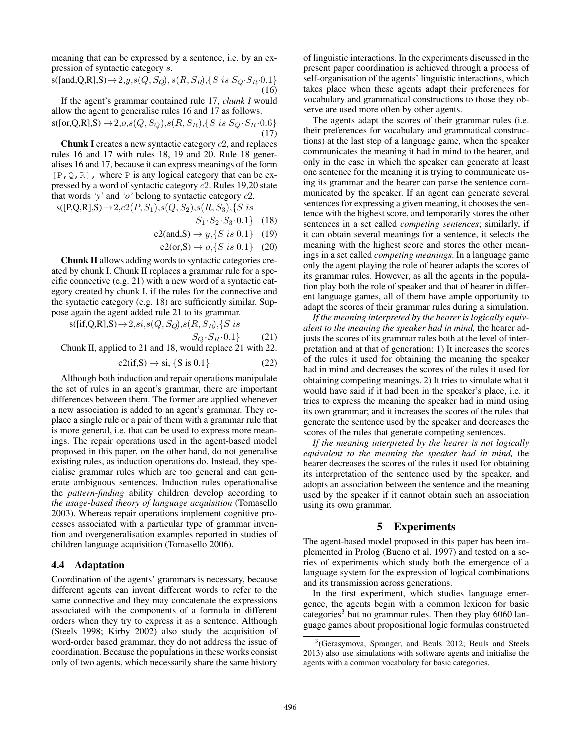meaning that can be expressed by a sentence, i.e. by an expression of syntactic category s.

 $s([and,Q,R],S) \rightarrow 2, y, s(Q, S_Q), s(R, S_R), \{S \text{ is } S_Q \cdot S_R \cdot 0.1\}$ (16)

If the agent's grammar contained rule 17, *chunk I* would allow the agent to generalise rules 16 and 17 as follows.

 $s([or,Q,R],S) \rightarrow 2, o, s(Q, S_Q), s(R, S_R), \{S \text{ is } S_Q \cdot S_R \cdot 0.6\}$ (17)

Chunk I creates a new syntactic category c2, and replaces rules 16 and 17 with rules 18, 19 and 20. Rule 18 generalises 16 and 17, because it can express meanings of the form  $[P, Q, R]$ , where P is any logical category that can be expressed by a word of syntactic category c2. Rules 19,20 state that words *'y'* and *'o'* belong to syntactic category c2.

 $s([P,Q,R],S) \rightarrow 2, c2(P, S_1), s(Q, S_2), s(R, S_3), \{S \ is$ 

- $S_1 \cdot S_2 \cdot S_3 \cdot 0.1$  (18)
- $c2(and, S) \rightarrow y, {S \text{ is } 0.1}$  (19)
	- $c2($ or,S $) \rightarrow o, \{S \text{ is } 0.1\}$  (20)

Chunk II allows adding words to syntactic categories created by chunk I. Chunk II replaces a grammar rule for a specific connective (e.g. 21) with a new word of a syntactic category created by chunk I, if the rules for the connective and the syntactic category (e.g. 18) are sufficiently similar. Suppose again the agent added rule 21 to its grammar.

 $s([if,Q,R],S) \rightarrow 2, si, s(Q, S_Q), s(R, S_R), \{S\ is$ 

 $S_Q \cdot S_R \cdot 0.1$  (21) Chunk II, applied to 21 and 18, would replace 21 with 22.

$$
c2(if,S) \to si, \{S \text{ is } 0.1\} \tag{22}
$$

Although both induction and repair operations manipulate the set of rules in an agent's grammar, there are important differences between them. The former are applied whenever a new association is added to an agent's grammar. They replace a single rule or a pair of them with a grammar rule that is more general, i.e. that can be used to express more meanings. The repair operations used in the agent-based model proposed in this paper, on the other hand, do not generalise existing rules, as induction operations do. Instead, they specialise grammar rules which are too general and can generate ambiguous sentences. Induction rules operationalise the *pattern-finding* ability children develop according to *the usage-based theory of language acquisition* (Tomasello 2003). Whereas repair operations implement cognitive processes associated with a particular type of grammar invention and overgeneralisation examples reported in studies of children language acquisition (Tomasello 2006).

#### 4.4 Adaptation

Coordination of the agents' grammars is necessary, because different agents can invent different words to refer to the same connective and they may concatenate the expressions associated with the components of a formula in different orders when they try to express it as a sentence. Although (Steels 1998; Kirby 2002) also study the acquisition of word-order based grammar, they do not address the issue of coordination. Because the populations in these works consist only of two agents, which necessarily share the same history

of linguistic interactions. In the experiments discussed in the present paper coordination is achieved through a process of self-organisation of the agents' linguistic interactions, which takes place when these agents adapt their preferences for vocabulary and grammatical constructions to those they observe are used more often by other agents.

The agents adapt the scores of their grammar rules (i.e. their preferences for vocabulary and grammatical constructions) at the last step of a language game, when the speaker communicates the meaning it had in mind to the hearer, and only in the case in which the speaker can generate at least one sentence for the meaning it is trying to communicate using its grammar and the hearer can parse the sentence communicated by the speaker. If an agent can generate several sentences for expressing a given meaning, it chooses the sentence with the highest score, and temporarily stores the other sentences in a set called *competing sentences*; similarly, if it can obtain several meanings for a sentence, it selects the meaning with the highest score and stores the other meanings in a set called *competing meanings*. In a language game only the agent playing the role of hearer adapts the scores of its grammar rules. However, as all the agents in the population play both the role of speaker and that of hearer in different language games, all of them have ample opportunity to adapt the scores of their grammar rules during a simulation.

*If the meaning interpreted by the hearer is logically equivalent to the meaning the speaker had in mind,* the hearer adjusts the scores of its grammar rules both at the level of interpretation and at that of generation: 1) It increases the scores of the rules it used for obtaining the meaning the speaker had in mind and decreases the scores of the rules it used for obtaining competing meanings. 2) It tries to simulate what it would have said if it had been in the speaker's place, i.e. it tries to express the meaning the speaker had in mind using its own grammar; and it increases the scores of the rules that generate the sentence used by the speaker and decreases the scores of the rules that generate competing sentences.

*If the meaning interpreted by the hearer is not logically equivalent to the meaning the speaker had in mind,* the hearer decreases the scores of the rules it used for obtaining its interpretation of the sentence used by the speaker, and adopts an association between the sentence and the meaning used by the speaker if it cannot obtain such an association using its own grammar.

# 5 Experiments

The agent-based model proposed in this paper has been implemented in Prolog (Bueno et al. 1997) and tested on a series of experiments which study both the emergence of a language system for the expression of logical combinations and its transmission across generations.

In the first experiment, which studies language emergence, the agents begin with a common lexicon for basic categories<sup>3</sup> but no grammar rules. Then they play  $6060$  language games about propositional logic formulas constructed

<sup>&</sup>lt;sup>3</sup>(Gerasymova, Spranger, and Beuls 2012; Beuls and Steels 2013) also use simulations with software agents and initialise the agents with a common vocabulary for basic categories.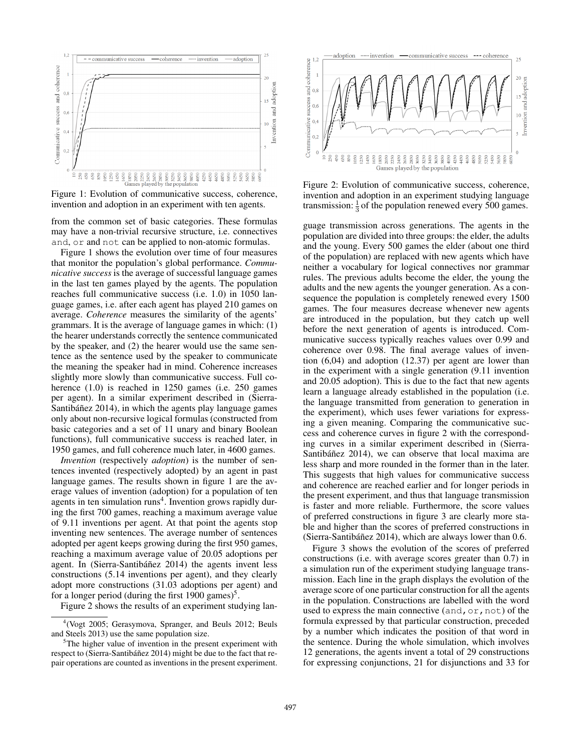

Figure 1: Evolution of communicative success, coherence, invention and adoption in an experiment with ten agents.

from the common set of basic categories. These formulas may have a non-trivial recursive structure, i.e. connectives and, or and not can be applied to non-atomic formulas.

Figure 1 shows the evolution over time of four measures that monitor the population's global performance. *Communicative success* is the average of successful language games in the last ten games played by the agents. The population reaches full communicative success (i.e. 1.0) in 1050 language games, i.e. after each agent has played 210 games on average. *Coherence* measures the similarity of the agents' grammars. It is the average of language games in which: (1) the hearer understands correctly the sentence communicated by the speaker, and (2) the hearer would use the same sentence as the sentence used by the speaker to communicate the meaning the speaker had in mind. Coherence increases slightly more slowly than communicative success. Full coherence (1.0) is reached in 1250 games (i.e. 250 games per agent). In a similar experiment described in (Sierra-Santibá $\tilde{n}$ ez 2014), in which the agents play language games only about non-recursive logical formulas (constructed from basic categories and a set of 11 unary and binary Boolean functions), full communicative success is reached later, in 1950 games, and full coherence much later, in 4600 games.

*Invention* (respectively *adoption*) is the number of sentences invented (respectively adopted) by an agent in past language games. The results shown in figure 1 are the average values of invention (adoption) for a population of ten agents in ten simulation runs<sup>4</sup>. Invention grows rapidly during the first 700 games, reaching a maximum average value of 9.11 inventions per agent. At that point the agents stop inventing new sentences. The average number of sentences adopted per agent keeps growing during the first 950 games, reaching a maximum average value of 20.05 adoptions per agent. In (Sierra-Santibáñez 2014) the agents invent less constructions (5.14 inventions per agent), and they clearly adopt more constructions (31.03 adoptions per agent) and for a longer period (during the first  $1900$  games)<sup>5</sup>.

Figure 2 shows the results of an experiment studying lan-



Figure 2: Evolution of communicative success, coherence, invention and adoption in an experiment studying language transmission:  $\frac{1}{3}$  of the population renewed every 500 games.

guage transmission across generations. The agents in the population are divided into three groups: the elder, the adults and the young. Every 500 games the elder (about one third of the population) are replaced with new agents which have neither a vocabulary for logical connectives nor grammar rules. The previous adults become the elder, the young the adults and the new agents the younger generation. As a consequence the population is completely renewed every 1500 games. The four measures decrease whenever new agents are introduced in the population, but they catch up well before the next generation of agents is introduced. Communicative success typically reaches values over 0.99 and coherence over 0.98. The final average values of invention (6,04) and adoption (12.37) per agent are lower than in the experiment with a single generation (9.11 invention and 20.05 adoption). This is due to the fact that new agents learn a language already established in the population (i.e. the language transmitted from generation to generation in the experiment), which uses fewer variations for expressing a given meaning. Comparing the communicative success and coherence curves in figure 2 with the corresponding curves in a similar experiment described in (Sierra-Santibáñez 2014), we can observe that local maxima are less sharp and more rounded in the former than in the later. This suggests that high values for communicative success and coherence are reached earlier and for longer periods in the present experiment, and thus that language transmission is faster and more reliable. Furthermore, the score values of preferred constructions in figure 3 are clearly more stable and higher than the scores of preferred constructions in (Sierra-Santibáñez 2014), which are always lower than 0.6.

Figure 3 shows the evolution of the scores of preferred constructions (i.e. with average scores greater than 0.7) in a simulation run of the experiment studying language transmission. Each line in the graph displays the evolution of the average score of one particular construction for all the agents in the population. Constructions are labelled with the word used to express the main connective  $(and, or, not)$  of the formula expressed by that particular construction, preceded by a number which indicates the position of that word in the sentence. During the whole simulation, which involves 12 generations, the agents invent a total of 29 constructions for expressing conjunctions, 21 for disjunctions and 33 for

<sup>4</sup> (Vogt 2005; Gerasymova, Spranger, and Beuls 2012; Beuls and Steels 2013) use the same population size.

 $5$ The higher value of invention in the present experiment with respect to (Sierra-Santibáñez 2014) might be due to the fact that repair operations are counted as inventions in the present experiment.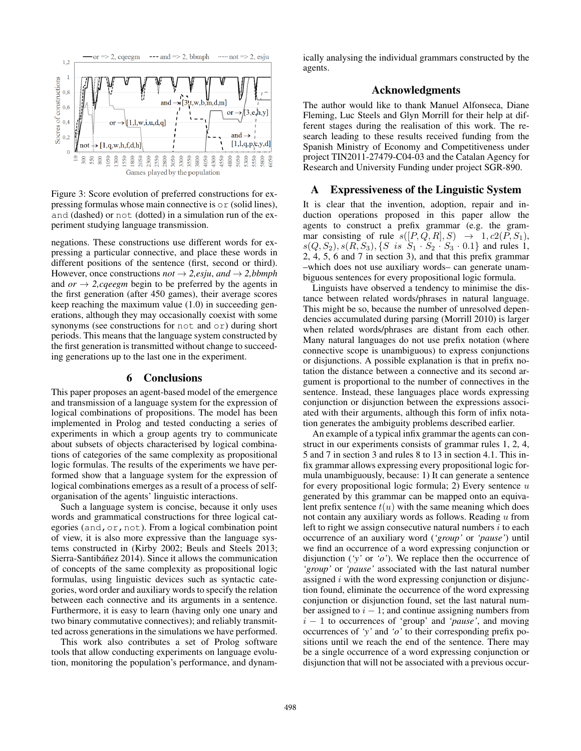

Figure 3: Score evolution of preferred constructions for expressing formulas whose main connective is or (solid lines), and (dashed) or not (dotted) in a simulation run of the experiment studying language transmission.

negations. These constructions use different words for expressing a particular connective, and place these words in different positions of the sentence (first, second or third). However, once constructions  $not \rightarrow 2$ , *esju*, and  $\rightarrow 2$ , *bbmph* and  $or \rightarrow 2, ceeegm$  begin to be preferred by the agents in the first generation (after 450 games), their average scores keep reaching the maximum value (1.0) in succeeding generations, although they may occasionally coexist with some synonyms (see constructions for not and or) during short periods. This means that the language system constructed by the first generation is transmitted without change to succeeding generations up to the last one in the experiment.

#### 6 Conclusions

This paper proposes an agent-based model of the emergence and transmission of a language system for the expression of logical combinations of propositions. The model has been implemented in Prolog and tested conducting a series of experiments in which a group agents try to communicate about subsets of objects characterised by logical combinations of categories of the same complexity as propositional logic formulas. The results of the experiments we have performed show that a language system for the expression of logical combinations emerges as a result of a process of selforganisation of the agents' linguistic interactions.

Such a language system is concise, because it only uses words and grammatical constructions for three logical categories (and, or, not). From a logical combination point of view, it is also more expressive than the language systems constructed in (Kirby 2002; Beuls and Steels 2013; Sierra-Santibáñez 2014). Since it allows the communication of concepts of the same complexity as propositional logic formulas, using linguistic devices such as syntactic categories, word order and auxiliary words to specify the relation between each connective and its arguments in a sentence. Furthermore, it is easy to learn (having only one unary and two binary commutative connectives); and reliably transmitted across generations in the simulations we have performed.

This work also contributes a set of Prolog software tools that allow conducting experiments on language evolution, monitoring the population's performance, and dynamically analysing the individual grammars constructed by the agents.

### Acknowledgments

The author would like to thank Manuel Alfonseca, Diane Fleming, Luc Steels and Glyn Morrill for their help at different stages during the realisation of this work. The research leading to these results received funding from the Spanish Ministry of Economy and Competitiveness under project TIN2011-27479-C04-03 and the Catalan Agency for Research and University Funding under project SGR-890.

## A Expressiveness of the Linguistic System

It is clear that the invention, adoption, repair and induction operations proposed in this paper allow the agents to construct a prefix grammar (e.g. the grammar consisting of rule  $s([P,Q,R], S) \rightarrow 1, c2(P, S_1),$  $s(Q, S_2), s(R, S_3), \{S \text{ is } S_1 \cdot S_2 \cdot S_3 \cdot 0.1\}$  and rules 1, 2, 4, 5, 6 and 7 in section 3), and that this prefix grammar –which does not use auxiliary words– can generate unambiguous sentences for every propositional logic formula.

Linguists have observed a tendency to minimise the distance between related words/phrases in natural language. This might be so, because the number of unresolved dependencies accumulated during parsing (Morrill 2010) is larger when related words/phrases are distant from each other. Many natural languages do not use prefix notation (where connective scope is unambiguous) to express conjunctions or disjunctions. A possible explanation is that in prefix notation the distance between a connective and its second argument is proportional to the number of connectives in the sentence. Instead, these languages place words expressing conjunction or disjunction between the expressions associated with their arguments, although this form of infix notation generates the ambiguity problems described earlier.

An example of a typical infix grammar the agents can construct in our experiments consists of grammar rules 1, 2, 4, 5 and 7 in section 3 and rules 8 to 13 in section 4.1. This infix grammar allows expressing every propositional logic formula unambiguously, because: 1) It can generate a sentence for every propositional logic formula; 2) Every sentence  $u$ generated by this grammar can be mapped onto an equivalent prefix sentence  $t(u)$  with the same meaning which does not contain any auxiliary words as follows. Reading u from left to right we assign consecutive natural numbers  $i$  to each occurrence of an auxiliary word (*'group'* or *'pause'*) until we find an occurrence of a word expressing conjunction or disjunction (*'y'* or *'o'*). We replace then the occurrence of *'group'* or *'pause'* associated with the last natural number assigned  $i$  with the word expressing conjunction or disjunction found, eliminate the occurrence of the word expressing conjunction or disjunction found, set the last natural number assigned to  $i - 1$ ; and continue assigning numbers from i − 1 to occurrences of 'group' and *'pause'*, and moving occurrences of *'y'* and *'o'* to their corresponding prefix positions until we reach the end of the sentence. There may be a single occurrence of a word expressing conjunction or disjunction that will not be associated with a previous occur